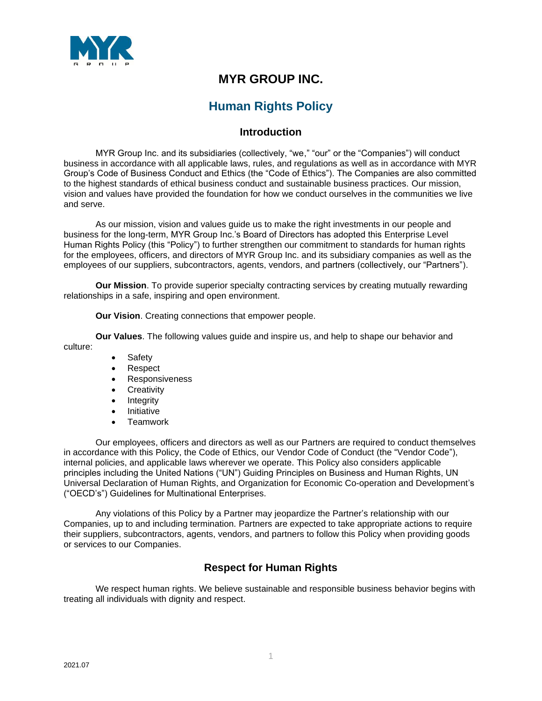

## **MYR GROUP INC.**

# **Human Rights Policy**

## **Introduction**

MYR Group Inc. and its subsidiaries (collectively, "we," "our" or the "Companies") will conduct business in accordance with all applicable laws, rules, and regulations as well as in accordance with MYR Group's Code of Business Conduct and Ethics (the "Code of Ethics"). The Companies are also committed to the highest standards of ethical business conduct and sustainable business practices. Our mission, vision and values have provided the foundation for how we conduct ourselves in the communities we live and serve.

As our mission, vision and values guide us to make the right investments in our people and business for the long-term, MYR Group Inc.'s Board of Directors has adopted this Enterprise Level Human Rights Policy (this "Policy") to further strengthen our commitment to standards for human rights for the employees, officers, and directors of MYR Group Inc. and its subsidiary companies as well as the employees of our suppliers, subcontractors, agents, vendors, and partners (collectively, our "Partners").

**Our Mission**. To provide superior specialty contracting services by creating mutually rewarding relationships in a safe, inspiring and open environment.

**Our Vision**. Creating connections that empower people.

**Our Values**. The following values guide and inspire us, and help to shape our behavior and culture:

- **Safety**
- Respect
- Responsiveness
- **Creativity**
- Integrity
- Initiative
- Teamwork

Our employees, officers and directors as well as our Partners are required to conduct themselves in accordance with this Policy, the Code of Ethics, our Vendor Code of Conduct (the "Vendor Code"), internal policies, and applicable laws wherever we operate. This Policy also considers applicable principles including the United Nations ("UN") Guiding Principles on Business and Human Rights, UN Universal Declaration of Human Rights, and Organization for Economic Co-operation and Development's ("OECD's") Guidelines for Multinational Enterprises.

Any violations of this Policy by a Partner may jeopardize the Partner's relationship with our Companies, up to and including termination. Partners are expected to take appropriate actions to require their suppliers, subcontractors, agents, vendors, and partners to follow this Policy when providing goods or services to our Companies.

## **Respect for Human Rights**

We respect human rights. We believe sustainable and responsible business behavior begins with treating all individuals with dignity and respect.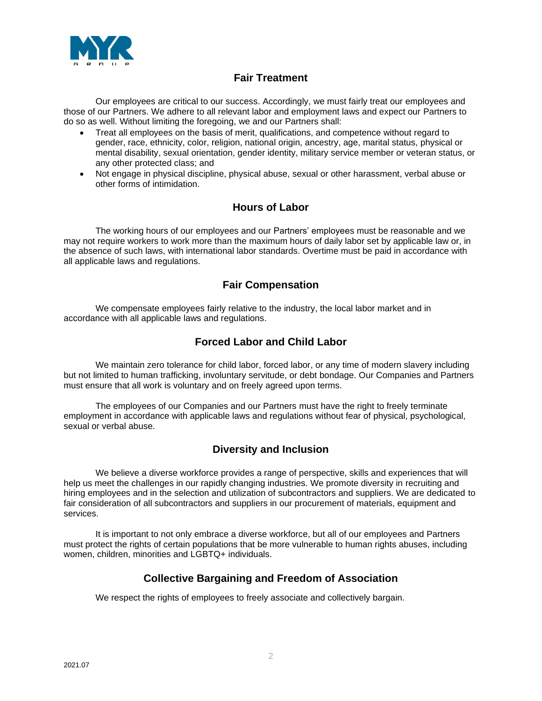

## **Fair Treatment**

Our employees are critical to our success. Accordingly, we must fairly treat our employees and those of our Partners. We adhere to all relevant labor and employment laws and expect our Partners to do so as well. Without limiting the foregoing, we and our Partners shall:

- Treat all employees on the basis of merit, qualifications, and competence without regard to gender, race, ethnicity, color, religion, national origin, ancestry, age, marital status, physical or mental disability, sexual orientation, gender identity, military service member or veteran status, or any other protected class; and
- Not engage in physical discipline, physical abuse, sexual or other harassment, verbal abuse or other forms of intimidation.

#### **Hours of Labor**

The working hours of our employees and our Partners' employees must be reasonable and we may not require workers to work more than the maximum hours of daily labor set by applicable law or, in the absence of such laws, with international labor standards. Overtime must be paid in accordance with all applicable laws and regulations.

## **Fair Compensation**

We compensate employees fairly relative to the industry, the local labor market and in accordance with all applicable laws and regulations.

#### **Forced Labor and Child Labor**

We maintain zero tolerance for child labor, forced labor, or any time of modern slavery including but not limited to human trafficking, involuntary servitude, or debt bondage. Our Companies and Partners must ensure that all work is voluntary and on freely agreed upon terms.

The employees of our Companies and our Partners must have the right to freely terminate employment in accordance with applicable laws and regulations without fear of physical, psychological, sexual or verbal abuse.

## **Diversity and Inclusion**

We believe a diverse workforce provides a range of perspective, skills and experiences that will help us meet the challenges in our rapidly changing industries. We promote diversity in recruiting and hiring employees and in the selection and utilization of subcontractors and suppliers. We are dedicated to fair consideration of all subcontractors and suppliers in our procurement of materials, equipment and services.

It is important to not only embrace a diverse workforce, but all of our employees and Partners must protect the rights of certain populations that be more vulnerable to human rights abuses, including women, children, minorities and LGBTQ+ individuals.

## **Collective Bargaining and Freedom of Association**

We respect the rights of employees to freely associate and collectively bargain.